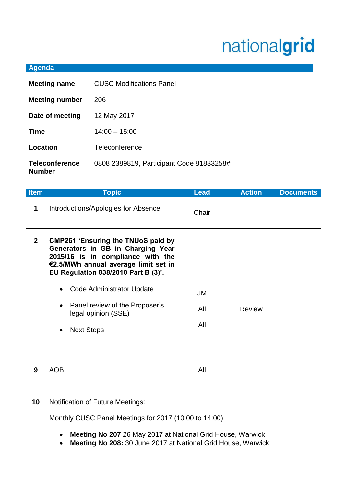## nationalgrid

## **Agenda**

| <b>Meeting name</b>                    | <b>CUSC Modifications Panel</b>          |
|----------------------------------------|------------------------------------------|
| <b>Meeting number</b>                  | 206                                      |
| Date of meeting                        | 12 May 2017                              |
| <b>Time</b>                            | $14:00 - 15:00$                          |
| Location                               | Teleconference                           |
| <b>Teleconference</b><br><b>Number</b> | 0808 2389819, Participant Code 81833258# |

| <b>Item</b>  | <b>Topic</b>                                                                                                                                                                                       | <b>Lead</b> | <b>Action</b> | <b>Documents</b> |
|--------------|----------------------------------------------------------------------------------------------------------------------------------------------------------------------------------------------------|-------------|---------------|------------------|
| 1            | Introductions/Apologies for Absence                                                                                                                                                                | Chair       |               |                  |
| $\mathbf{2}$ | <b>CMP261 'Ensuring the TNUoS paid by</b><br>Generators in GB in Charging Year<br>2015/16 is in compliance with the<br>€2.5/MWh annual average limit set in<br>EU Regulation 838/2010 Part B (3)'. |             |               |                  |
|              | Code Administrator Update<br>$\bullet$                                                                                                                                                             | JM          |               |                  |
|              | Panel review of the Proposer's<br>legal opinion (SSE)                                                                                                                                              | All         | <b>Review</b> |                  |
|              | <b>Next Steps</b><br>$\bullet$                                                                                                                                                                     | All         |               |                  |
|              |                                                                                                                                                                                                    |             |               |                  |
| 9            | <b>AOB</b>                                                                                                                                                                                         | All         |               |                  |
|              |                                                                                                                                                                                                    |             |               |                  |

**10** Notification of Future Meetings:

Monthly CUSC Panel Meetings for 2017 (10:00 to 14:00):

- **Meeting No 207** 26 May 2017 at National Grid House, Warwick
- **Meeting No 208:** 30 June 2017 at National Grid House, Warwick